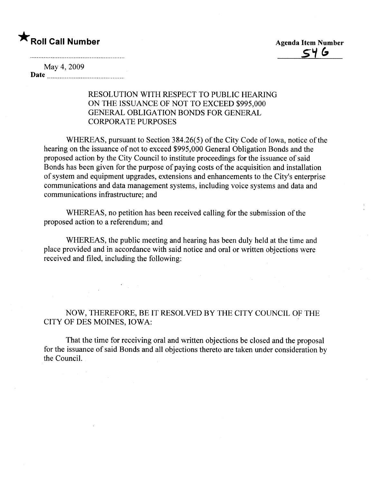## \* Roll Call Number Agenda Item Number

 $\mathsf{C}$ 4 G

May 4, 2009 Date

## RESOLUTION WITH RESPECT TO PUBLIC HEARING ON THE ISSUANCE OF NOT TO EXCEED \$995,000 GENERAL OBLIGATION BONDS FOR GENERAL CORPORATE PURPOSES

WHEREAS, pursuant to Section 384.26(5) of the City Code of Iowa, notice of the hearing on the issuance of not to exceed \$995,000 General Obligation Bonds and the proposed action by the City Council to institute proceedings for the issuance of said Bonds has been given for the purpose of paying costs of the acquisition and installation of system and equipment upgrades, extensions and enhancements to the City's enterprise communications and data management systems, including voice systems and data and communications infrastructure; and

WHEREAS, no petition has been received calling for the submission of the proposed action to a referendum; and

WHEREAS, the public meeting and hearing has been duly held at the time and place provided and in accordance with said notice and oral or written objections were received and filed, including the following:

## NOW, THEREFORE, BE IT RESOLVED BY THE CITY COUNCIL OF THE CITY OF DES MOINES, IOWA:

That the time for receiving oral and written objections be closed and the proposal for the issuance of said Bonds and all objections thereto are taken under consideration by the CounciL.